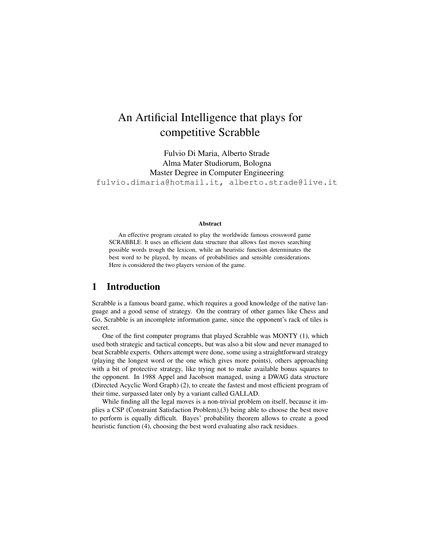# An Artificial Intelligence that plays for competitive Scrabble

Fulvio Di Maria, Alberto Strade Alma Mater Studiorum, Bologna Master Degree in Computer Engineering fulvio.dimaria@hotmail.it, alberto.strade@live.it

#### Abstract

An effective program created to play the worldwide famous crossword game SCRABBLE. It uses an efficient data structure that allows fast moves searching possible words trough the lexicon, while an heuristic function determinates the best word to be played, by means of probabilities and sensible considerations. Here is considered the two players version of the game.

#### 1 Introduction

Scrabble is a famous board game, which requires a good knowledge of the native language and a good sense of strategy. On the contrary of other games like Chess and Go, Scrabble is an incomplete information game, since the opponent's rack of tiles is secret.

One of the first computer programs that played Scrabble was MONTY (1), which used both strategic and tactical concepts, but was also a bit slow and never managed to beat Scrabble experts. Others attempt were done, some using a straightforward strategy (playing the longest word or the one which gives more points), others approaching with a bit of protective strategy, like trying not to make available bonus squares to the opponent. In 1988 Appel and Jacobson managed, using a DWAG data structure (Directed Acyclic Word Graph) (2), to create the fastest and most efficient program of their time, surpassed later only by a variant called GALLAD.

While finding all the legal moves is a non-trivial problem on itself, because it implies a CSP (Constraint Satisfaction Problem),(3) being able to choose the best move to perform is equally difficult. Bayes' probability theorem allows to create a good heuristic function (4), choosing the best word evaluating also rack residues.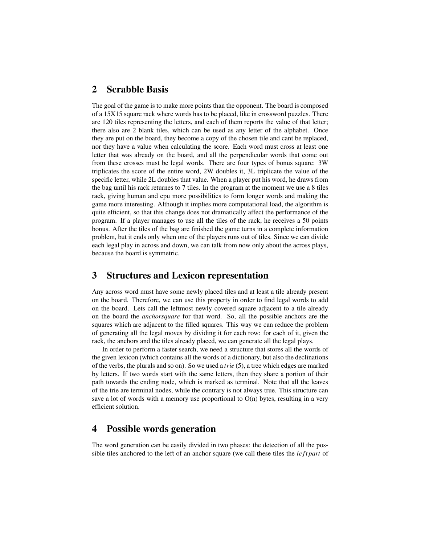#### 2 Scrabble Basis

The goal of the game is to make more points than the opponent. The board is composed of a 15X15 square rack where words has to be placed, like in crossword puzzles. There are 120 tiles representing the letters, and each of them reports the value of that letter; there also are 2 blank tiles, which can be used as any letter of the alphabet. Once they are put on the board, they become a copy of the chosen tile and cant be replaced, nor they have a value when calculating the score. Each word must cross at least one letter that was already on the board, and all the perpendicular words that come out from these crosses must be legal words. There are four types of bonus square: 3W triplicates the score of the entire word, 2W doubles it, 3L triplicate the value of the specific letter, while 2L doubles that value. When a player put his word, he draws from the bag until his rack returnes to 7 tiles. In the program at the moment we use a 8 tiles rack, giving human and cpu more possibilities to form longer words and making the game more interesting. Although it implies more computational load, the algorithm is quite efficient, so that this change does not dramatically affect the performance of the program. If a player manages to use all the tiles of the rack, he receives a 50 points bonus. After the tiles of the bag are finished the game turns in a complete information problem, but it ends only when one of the players runs out of tiles. Since we can divide each legal play in across and down, we can talk from now only about the across plays, because the board is symmetric.

#### 3 Structures and Lexicon representation

Any across word must have some newly placed tiles and at least a tile already present on the board. Therefore, we can use this property in order to find legal words to add on the board. Lets call the leftmost newly covered square adjacent to a tile already on the board the *anchorsquare* for that word. So, all the possible anchors are the squares which are adjacent to the filled squares. This way we can reduce the problem of generating all the legal moves by dividing it for each row: for each of it, given the rack, the anchors and the tiles already placed, we can generate all the legal plays.

In order to perform a faster search, we need a structure that stores all the words of the given lexicon (which contains all the words of a dictionary, but also the declinations of the verbs, the plurals and so on). So we used a *trie* (5), a tree which edges are marked by letters. If two words start with the same letters, then they share a portion of their path towards the ending node, which is marked as terminal. Note that all the leaves of the trie are terminal nodes, while the contrary is not always true. This structure can save a lot of words with a memory use proportional to  $O(n)$  bytes, resulting in a very efficient solution.

### 4 Possible words generation

The word generation can be easily divided in two phases: the detection of all the possible tiles anchored to the left of an anchor square (we call these tiles the *le ft part* of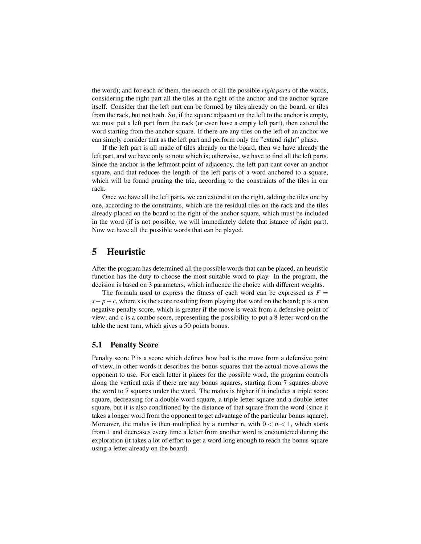the word); and for each of them, the search of all the possible *right parts* of the words, considering the right part all the tiles at the right of the anchor and the anchor square itself. Consider that the left part can be formed by tiles already on the board, or tiles from the rack, but not both. So, if the square adjacent on the left to the anchor is empty, we must put a left part from the rack (or even have a empty left part), then extend the word starting from the anchor square. If there are any tiles on the left of an anchor we can simply consider that as the left part and perform only the "extend right" phase.

If the left part is all made of tiles already on the board, then we have already the left part, and we have only to note which is; otherwise, we have to find all the left parts. Since the anchor is the leftmost point of adjacency, the left part cant cover an anchor square, and that reduces the length of the left parts of a word anchored to a square, which will be found pruning the trie, according to the constraints of the tiles in our rack.

Once we have all the left parts, we can extend it on the right, adding the tiles one by one, according to the constraints, which are the residual tiles on the rack and the tiles already placed on the board to the right of the anchor square, which must be included in the word (if is not possible, we will immediately delete that istance of right part). Now we have all the possible words that can be played.

### 5 Heuristic

After the program has determined all the possible words that can be placed, an heuristic function has the duty to choose the most suitable word to play. In the program, the decision is based on 3 parameters, which influence the choice with different weights.

The formula used to express the fitness of each word can be expressed as  $F =$  $s-p+c$ , where s is the score resulting from playing that word on the board; p is a non negative penalty score, which is greater if the move is weak from a defensive point of view; and c is a combo score, representing the possibility to put a 8 letter word on the table the next turn, which gives a 50 points bonus.

#### 5.1 Penalty Score

Penalty score P is a score which defines how bad is the move from a defensive point of view, in other words it describes the bonus squares that the actual move allows the opponent to use. For each letter it places for the possible word, the program controls along the vertical axis if there are any bonus squares, starting from 7 squares above the word to 7 squares under the word. The malus is higher if it includes a triple score square, decreasing for a double word square, a triple letter square and a double letter square, but it is also conditioned by the distance of that square from the word (since it takes a longer word from the opponent to get advantage of the particular bonus square). Moreover, the malus is then multiplied by a number n, with  $0 < n < 1$ , which starts from 1 and decreases every time a letter from another word is encountered during the exploration (it takes a lot of effort to get a word long enough to reach the bonus square using a letter already on the board).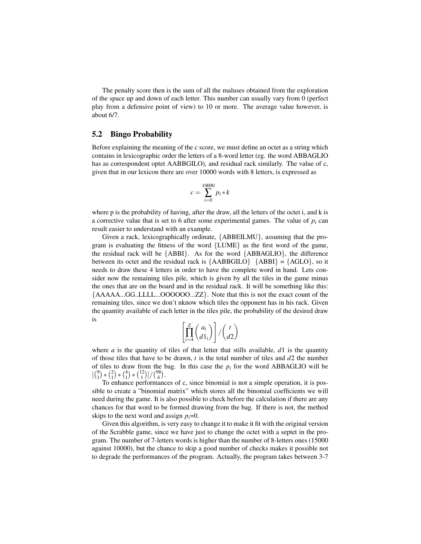The penalty score then is the sum of all the maluses obtained from the exploration of the space up and down of each letter. This number can usually vary from 0 (perfect play from a defensive point of view) to 10 or more. The average value however, is about 6/7.

#### 5.2 Bingo Probability

Before explaining the meaning of the c score, we must define an octet as a string which contains in lexicographic order the letters of a 8-word letter (eg. the word ABBAGLIO has as correspondent optet AABBGILO), and residual rack similarly. The value of c, given that in our lexicon there are over 10000 words with 8 letters, is expressed as

$$
c = \sum_{i=0}^{10000} p_i * k
$$

where p is the probability of having, after the draw, all the letters of the octet i, and k is a corrective value that is set to 6 after some experimental games. The value of  $p_i$  can result easier to understand with an example.

Given a rack, lexicographically ordinate, {ABBEILMU}, assuming that the program is evaluating the fitness of the word {LUME} as the first word of the game, the residual rack will be  ${ABBI}$ . As for the word  ${ABBAGLIO}$ , the difference between its octet and the residual rack is  ${AABBGLO}$   ${ABBI} = {AGLO}$ , so it needs to draw these 4 letters in order to have the complete word in hand. Lets consider now the remaining tiles pile, which is given by all the tiles in the game minus the ones that are on the board and in the residual rack. It will be something like this: {AAAAA...GG..LLLL...OOOOOO...ZZ}. Note that this is not the exact count of the remaining tiles, since we don't nknow which tiles the opponent has in his rack. Given the quantity available of each letter in the tiles pile, the probability of the desired draw is

$$
\left[\prod_{i=A}^{Z} {a_i \choose d1_i}\right] / {t \choose d2}
$$

where *a* is the quantity of tiles of that letter that stills available,  $d_1$  is the quantity of those tiles that have to be drawn, *t* is the total number of tiles and *d*2 the number of tiles to draw from the bag. In this case the  $p_i$  for the word ABBAGLIO will be  $\left[\binom{9}{1} * \binom{2}{1} * \binom{4}{1} * \binom{12}{1}\right] / \binom{98}{4}.$ 

To enhance performances of c, since binomial is not a simple operation, it is possible to create a "binomial matrix" which stores all the binomial coefficients we will need during the game. It is also possible to check before the calculation if there are any chances for that word to be formed drawing from the bag. If there is not, the method skips to the next word and assign  $p_i=0$ .

Given this algorithm, is very easy to change it to make it fit with the original version of the Scrabble game, since we have just to change the octet with a septet in the program. The number of 7-letters words is higher than the number of 8-letters ones (15000 against 10000), but the chance to skip a good number of checks makes it possible not to degrade the performances of the program. Actually, the program takes between 3-7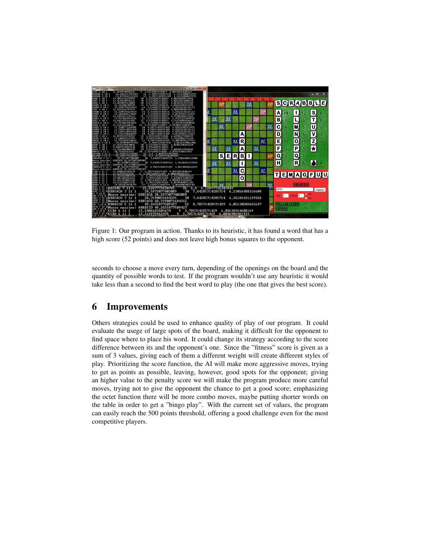

Figure 1: Our program in action. Thanks to its heuristic, it has found a word that has a high score (52 points) and does not leave high bonus squares to the opponent.

seconds to choose a move every turn, depending of the openings on the board and the quantity of possible words to test. If the program wouldn't use any heuristic it would take less than a second to find the best word to play (the one that gives the best score).

### 6 Improvements

Others strategies could be used to enhance quality of play of our program. It could evaluate the usege of large spots of the board, making it difficult for the opponent to find space where to place his word. It could change its strategy according to the score difference between its and the opponent's one. Since the "fitness" score is given as a sum of 3 values, giving each of them a different weight will create different styles of play. Prioritizing the score function, the AI will make more aggressive moves, trying to get as points as possible, leaving, however, good spots for the opponent; giving an higher value to the penalty score we will make the program produce more careful moves, trying not to give the opponent the chance to get a good score; emphasizing the octet function there will be more combo moves, maybe putting shorter words on the table in order to get a "bingo play". With the current set of values, the program can easily reach the 500 points threshold, offering a good challenge even for the most competitive players.